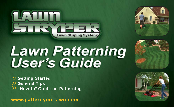



# **Lawn Patterning<br>User's Guide**

 **Getting Started General Tips "How-to" Guide on Patterning** 

**www.patternyourlawn.com**



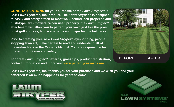**CONGRATULATIONS on your purchase of the** *Lawn StryperTM***, a** S&B Lawn Systems, Inc. product. The *Lawn Stryper<sup>™</sup>* is designed **to easily and safely attach to most walk-behind, self-propelled and** push-type lawn mowers. When used properly, the *Lawn Stryper<sup>™</sup>* **attachment will allow you to pattern your lawn just like the pros do at golf courses, landscape firms and major league ballparks.**

**Prior to creating your new** *Lawn StryperTM* **eye-popping, people stopping lawn art, make certain to read and understand all of the instructions in the Owner's Manual. You are responsible for proper product use and safety.**

**For great** *Lawn Stryper<sup>™</sup>* **patterns, grass tips, product registration, contact information and more visit www.patternyourlawn.com**

**BEFORE AFTER**

**S&B Lawn Systems, Inc. thanks you for your purchase and we wish you and your patterned lawn much happiness for years to come.** 



S&B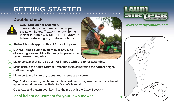# **GETTING STARTED**

## **Double check**



**CAUTION: Do not assemble, disassemble, attach, inspect, or adjust the** *Lawn StryperTM* **attachment while the mower is running. SHUT OFF THE MOWER before performing any of these actions.**

- **Roller fills with approx. 16 to 20 lbs. of dry sand.**  $\bigodot$
- **DO NOT place clamp system over any type of existing wires/cables that may be present on lawn mowers handlebars.**  $\bigodot$
- **Make certain that stride does not impede with the roller assembly.**  $\bigodot$
- **Make certain the** *Lawn StryperTM* **attachment is adjusted to the correct height, width and angle.**  $\bigodot$
- **Make certain all clamps, tubes and screws are secure.**  $\bigodot$

**Tip:** Additional width, height and angle adjustments may need to be made based upon personal preference. Refer to Owner's Manual.

Go ahead and pattern your lawn like the pros with the *Lawn StryperTM*!

## **Ideal height adjustment for your lawn mower. 3"-4"**





## **www.patternyourlawn.com**

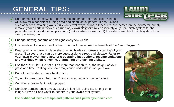# **GENERAL TIPS:**

- Cut perimeter once or twice (2 passes recommended) of grass plot. Doing so will allow for a consistent turning area and clean visual pattern. If obstructions will allow for a consistent turning area and clean visual pattern. If obstructions such as fences, retaining walls, driveways, walkways, curbs, ditches, etc. are located on the perimeter, simply remove (make certain mower is turned off) **Lawn Stryper**<sup>™</sup> roller assembly only from hitch system for the perimeter cut. Once done, simply attach (make certain mower is off) the roller assembly to hitch system for a clear patterning path.
- $\mathbf{Q}$  $\ddot{\odot}$

Change mowing patterns and designs every few weeks.

It is beneficial to have a healthy lawn in order to maximize the benefits of the *Lawn StryperTM*.

- Keep your lawn mower's blade sharp. A dull blade can cause a 'scalping' of your grass. 'Scalped' grass can be more susceptible to stress and disease. **Refer to your lawn mower manufacturer's operating instructions, recommendations and warnings when removing, sharpening or attaching a blade.**  $\bigodot$
- $\bigodot$ 
	- Use the "1/3 Rule" Do not cut off more than one-third, of the height, of your grass at a time. Cutting 'too' short may cause undo stress 'on' your lawn.
- Do not mow under extreme heat or sun.  $\overline{\mathbf{O}}$
- Try not to mow grass when wet. Doing so may cause a 'matting' effect.  $\overline{\mathbf{O}}$
- Consider a proper fertilization program.  $\bigodot$
- Consider aerating once a year, usually in late fall. Doing so, among other things, allows air and water to penetrate your lawn's root system.  $\bigodot$

**For additional lawn care tips and patterns visit patternyourlawn.com**



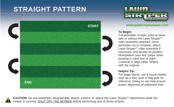# **STRAIGHT PATTERN**





## **START www.patternyourlawn.com**

## **To Begin:**

Cut perimeter of lawn, once or twice, with or without the *Lawn Stryper<sup>™</sup>* roller assembly attached. Once perimeter cut is complete, attach *Lawn Stryper™* roller assembly if necessary, and decide on position. Mow/pattern your first 'stripe' while keeping in mind 'line of sight'. Continue to align other 'stripes' with the original.

### **Helpful Tip:**

For larger lawns, use a visual marker such as a tree, post or flag pole for reference. Doing so can help ensure proper alignment of patterned lines.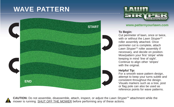# **WAVE PATTERN**





## **www.patternyourlawn.com START**

## **To Begin:**

Cut perimeter of lawn, once or twice, with or without the *Lawn Stryper™* roller assembly attached. Once perimeter cut is complete, attach *Lawn Stryper™* roller assembly if necessary, and decide on position. Mow/pattern your first 'stripe' while keeping in mind 'line of sight'. Continue to align other 'stripes' with the original.

## **Helpful Tip:**

For a smooth wave pattern design, attempt to keep your turns subtle and consistent throughout the design. Visuals markers such as a tree, post or flag pole can also be used as reference points for wave patterns.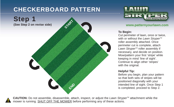## **CHECKERBOARD PATTERN**





#### **www.patternyourlawn.com**

## **To Begin:**

Cut perimeter of lawn, once or twice, with or without the *Lawn Stryper<sup>™</sup>* roller assembly attached. Once perimeter cut is complete, attach *Lawn Stryper<sup>™</sup>* roller assembly if necessary, and decide on position. Mow/pattern your first 'stripe' while keeping in mind 'line of sight'. Continue to align other 'stripes' with the original.

### **Helpful Tip:**

Before you begin, plan your pattern so that both sets of stripes will be positioned diagonally with your intended line of sight. Once Step 1 is completed, proceed to Step 2.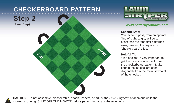## **CHECKERBOARD PATTERN**





#### **www.patternyourlawn.com**

#### **Second Step:**

Your second pass, from an optimal 'line of sight' angle, will be to crisscross over the first patterned rows, creating the 'square' or 'checkerboard' effect.

## **Helpful Tip:**

'Line of sight' is very important to get the most visual impact from the checkerboard pattern. Make certain the 'stripes' are seen diagonally from the main viewpoint of the onlooker.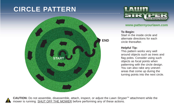## **CIRCLE PATTERN**



#### **www.patternyourlawn.com**

#### **To Begin:**

Start in the inside circle and alternate directions for each circle thereafter.

#### **Helpful Tip:**

This pattern works very well around objects such as trees and flag poles. Consider using such objects as focal points when patterning with the circle design. You can also rake any uneven areas that come up during the turning points into the next circle.